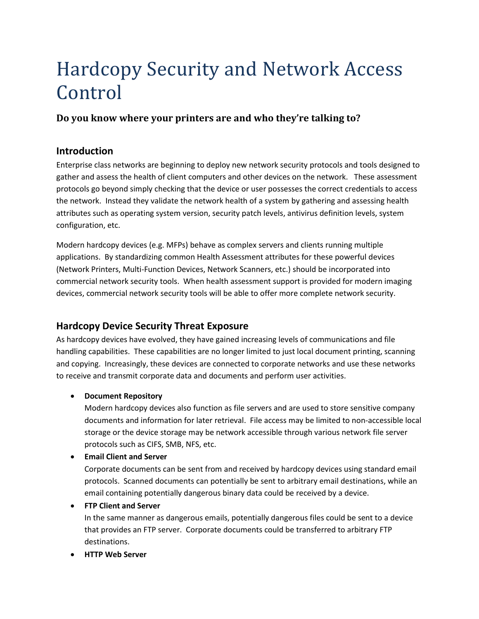# Hardcopy Security and Network Access Control

# **Do you know where your printers are and who they're talking to?**

# **Introduction**

Enterprise class networks are beginning to deploy new network security protocols and tools designed to gather and assess the health of client computers and other devices on the network. These assessment protocols go beyond simply checking that the device or user possesses the correct credentials to access the network. Instead they validate the network health of a system by gathering and assessing health attributes such as operating system version, security patch levels, antivirus definition levels, system configuration, etc.

Modern hardcopy devices (e.g. MFPs) behave as complex servers and clients running multiple applications. By standardizing common Health Assessment attributes for these powerful devices (Network Printers, Multi-Function Devices, Network Scanners, etc.) should be incorporated into commercial network security tools. When health assessment support is provided for modern imaging devices, commercial network security tools will be able to offer more complete network security.

# **Hardcopy Device Security Threat Exposure**

As hardcopy devices have evolved, they have gained increasing levels of communications and file handling capabilities. These capabilities are no longer limited to just local document printing, scanning and copying. Increasingly, these devices are connected to corporate networks and use these networks to receive and transmit corporate data and documents and perform user activities.

## **Document Repository**

Modern hardcopy devices also function as file servers and are used to store sensitive company documents and information for later retrieval. File access may be limited to non-accessible local storage or the device storage may be network accessible through various network file server protocols such as CIFS, SMB, NFS, etc.

**Email Client and Server**

Corporate documents can be sent from and received by hardcopy devices using standard email protocols. Scanned documents can potentially be sent to arbitrary email destinations, while an email containing potentially dangerous binary data could be received by a device.

**FTP Client and Server**

In the same manner as dangerous emails, potentially dangerous files could be sent to a device that provides an FTP server. Corporate documents could be transferred to arbitrary FTP destinations.

**HTTP Web Server**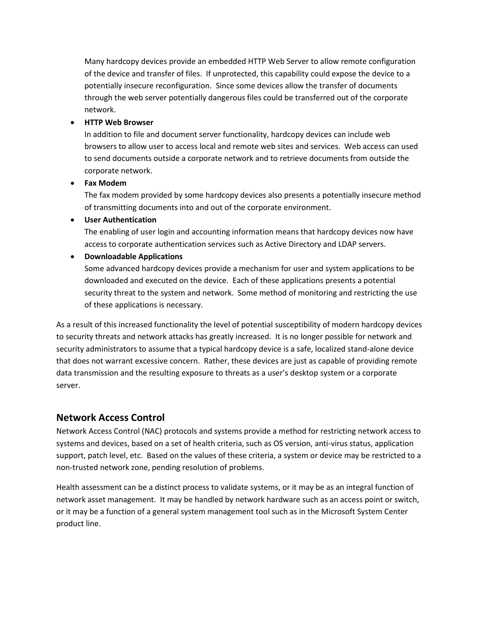Many hardcopy devices provide an embedded HTTP Web Server to allow remote configuration of the device and transfer of files. If unprotected, this capability could expose the device to a potentially insecure reconfiguration. Since some devices allow the transfer of documents through the web server potentially dangerous files could be transferred out of the corporate network.

#### **HTTP Web Browser**

In addition to file and document server functionality, hardcopy devices can include web browsers to allow user to access local and remote web sites and services. Web access can used to send documents outside a corporate network and to retrieve documents from outside the corporate network.

#### **Fax Modem**

The fax modem provided by some hardcopy devices also presents a potentially insecure method of transmitting documents into and out of the corporate environment.

#### **User Authentication**

The enabling of user login and accounting information means that hardcopy devices now have access to corporate authentication services such as Active Directory and LDAP servers.

## **Downloadable Applications**

Some advanced hardcopy devices provide a mechanism for user and system applications to be downloaded and executed on the device. Each of these applications presents a potential security threat to the system and network. Some method of monitoring and restricting the use of these applications is necessary.

As a result of this increased functionality the level of potential susceptibility of modern hardcopy devices to security threats and network attacks has greatly increased. It is no longer possible for network and security administrators to assume that a typical hardcopy device is a safe, localized stand-alone device that does not warrant excessive concern. Rather, these devices are just as capable of providing remote data transmission and the resulting exposure to threats as a user's desktop system or a corporate server.

## **Network Access Control**

Network Access Control (NAC) protocols and systems provide a method for restricting network access to systems and devices, based on a set of health criteria, such as OS version, anti-virus status, application support, patch level, etc. Based on the values of these criteria, a system or device may be restricted to a non-trusted network zone, pending resolution of problems.

Health assessment can be a distinct process to validate systems, or it may be as an integral function of network asset management. It may be handled by network hardware such as an access point or switch, or it may be a function of a general system management tool such as in the Microsoft System Center product line.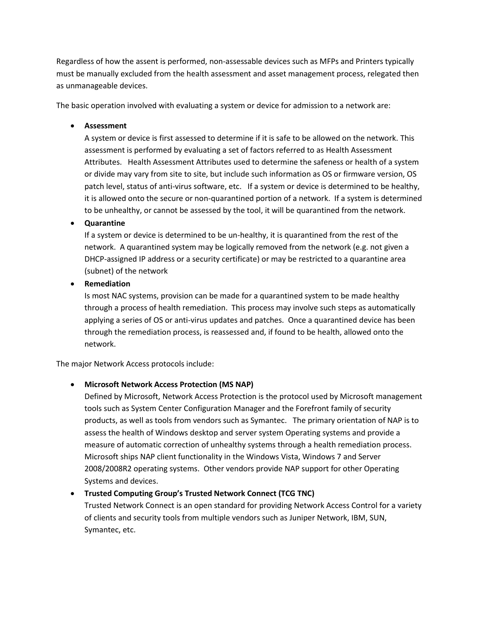Regardless of how the assent is performed, non-assessable devices such as MFPs and Printers typically must be manually excluded from the health assessment and asset management process, relegated then as unmanageable devices.

The basic operation involved with evaluating a system or device for admission to a network are:

#### **Assessment**

A system or device is first assessed to determine if it is safe to be allowed on the network. This assessment is performed by evaluating a set of factors referred to as Health Assessment Attributes. Health Assessment Attributes used to determine the safeness or health of a system or divide may vary from site to site, but include such information as OS or firmware version, OS patch level, status of anti-virus software, etc. If a system or device is determined to be healthy, it is allowed onto the secure or non-quarantined portion of a network. If a system is determined to be unhealthy, or cannot be assessed by the tool, it will be quarantined from the network.

**Quarantine**

If a system or device is determined to be un-healthy, it is quarantined from the rest of the network. A quarantined system may be logically removed from the network (e.g. not given a DHCP-assigned IP address or a security certificate) or may be restricted to a quarantine area (subnet) of the network

**•** Remediation

Is most NAC systems, provision can be made for a quarantined system to be made healthy through a process of health remediation. This process may involve such steps as automatically applying a series of OS or anti-virus updates and patches. Once a quarantined device has been through the remediation process, is reassessed and, if found to be health, allowed onto the network.

The major Network Access protocols include:

## **Microsoft Network Access Protection (MS NAP)**

Defined by Microsoft, Network Access Protection is the protocol used by Microsoft management tools such as System Center Configuration Manager and the Forefront family of security products, as well as tools from vendors such as Symantec. The primary orientation of NAP is to assess the health of Windows desktop and server system Operating systems and provide a measure of automatic correction of unhealthy systems through a health remediation process. Microsoft ships NAP client functionality in the Windows Vista, Windows 7 and Server 2008/2008R2 operating systems. Other vendors provide NAP support for other Operating Systems and devices.

## **Trusted Computing Group's Trusted Network Connect (TCG TNC)**

Trusted Network Connect is an open standard for providing Network Access Control for a variety of clients and security tools from multiple vendors such as Juniper Network, IBM, SUN, Symantec, etc.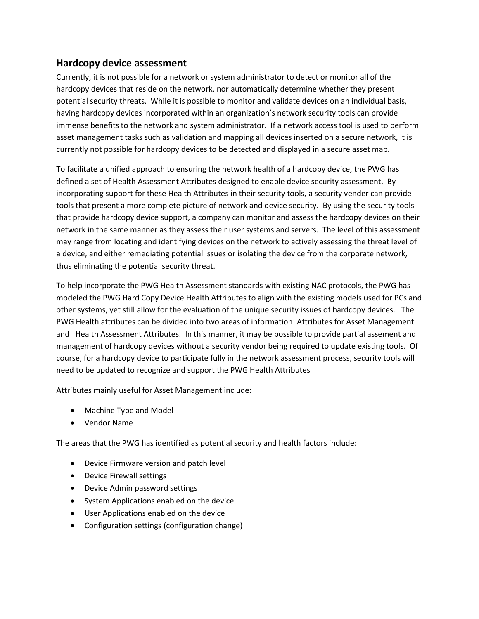# **Hardcopy device assessment**

Currently, it is not possible for a network or system administrator to detect or monitor all of the hardcopy devices that reside on the network, nor automatically determine whether they present potential security threats. While it is possible to monitor and validate devices on an individual basis, having hardcopy devices incorporated within an organization's network security tools can provide immense benefits to the network and system administrator. If a network access tool is used to perform asset management tasks such as validation and mapping all devices inserted on a secure network, it is currently not possible for hardcopy devices to be detected and displayed in a secure asset map.

To facilitate a unified approach to ensuring the network health of a hardcopy device, the PWG has defined a set of Health Assessment Attributes designed to enable device security assessment. By incorporating support for these Health Attributes in their security tools, a security vender can provide tools that present a more complete picture of network and device security. By using the security tools that provide hardcopy device support, a company can monitor and assess the hardcopy devices on their network in the same manner as they assess their user systems and servers. The level of this assessment may range from locating and identifying devices on the network to actively assessing the threat level of a device, and either remediating potential issues or isolating the device from the corporate network, thus eliminating the potential security threat.

To help incorporate the PWG Health Assessment standards with existing NAC protocols, the PWG has modeled the PWG Hard Copy Device Health Attributes to align with the existing models used for PCs and other systems, yet still allow for the evaluation of the unique security issues of hardcopy devices. The PWG Health attributes can be divided into two areas of information: Attributes for Asset Management and Health Assessment Attributes. In this manner, it may be possible to provide partial assement and management of hardcopy devices without a security vendor being required to update existing tools. Of course, for a hardcopy device to participate fully in the network assessment process, security tools will need to be updated to recognize and support the PWG Health Attributes

Attributes mainly useful for Asset Management include:

- Machine Type and Model
- Vendor Name

The areas that the PWG has identified as potential security and health factors include:

- Device Firmware version and patch level
- Device Firewall settings
- Device Admin password settings
- System Applications enabled on the device
- User Applications enabled on the device
- Configuration settings (configuration change)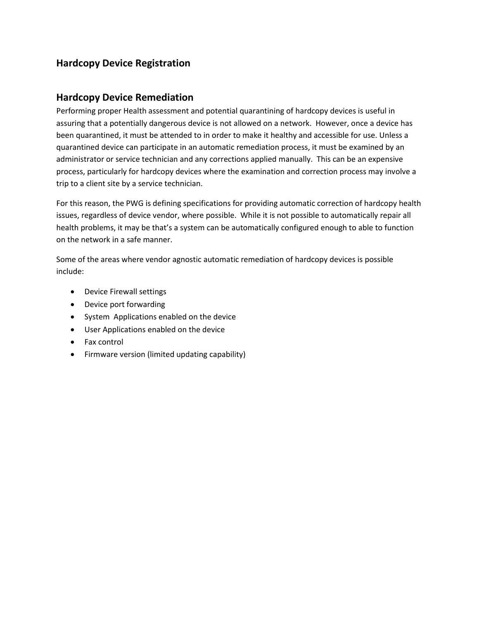# **Hardcopy Device Registration**

# **Hardcopy Device Remediation**

Performing proper Health assessment and potential quarantining of hardcopy devices is useful in assuring that a potentially dangerous device is not allowed on a network. However, once a device has been quarantined, it must be attended to in order to make it healthy and accessible for use. Unless a quarantined device can participate in an automatic remediation process, it must be examined by an administrator or service technician and any corrections applied manually. This can be an expensive process, particularly for hardcopy devices where the examination and correction process may involve a trip to a client site by a service technician.

For this reason, the PWG is defining specifications for providing automatic correction of hardcopy health issues, regardless of device vendor, where possible. While it is not possible to automatically repair all health problems, it may be that's a system can be automatically configured enough to able to function on the network in a safe manner.

Some of the areas where vendor agnostic automatic remediation of hardcopy devices is possible include:

- Device Firewall settings
- Device port forwarding
- System Applications enabled on the device
- User Applications enabled on the device
- Fax control
- Firmware version (limited updating capability)